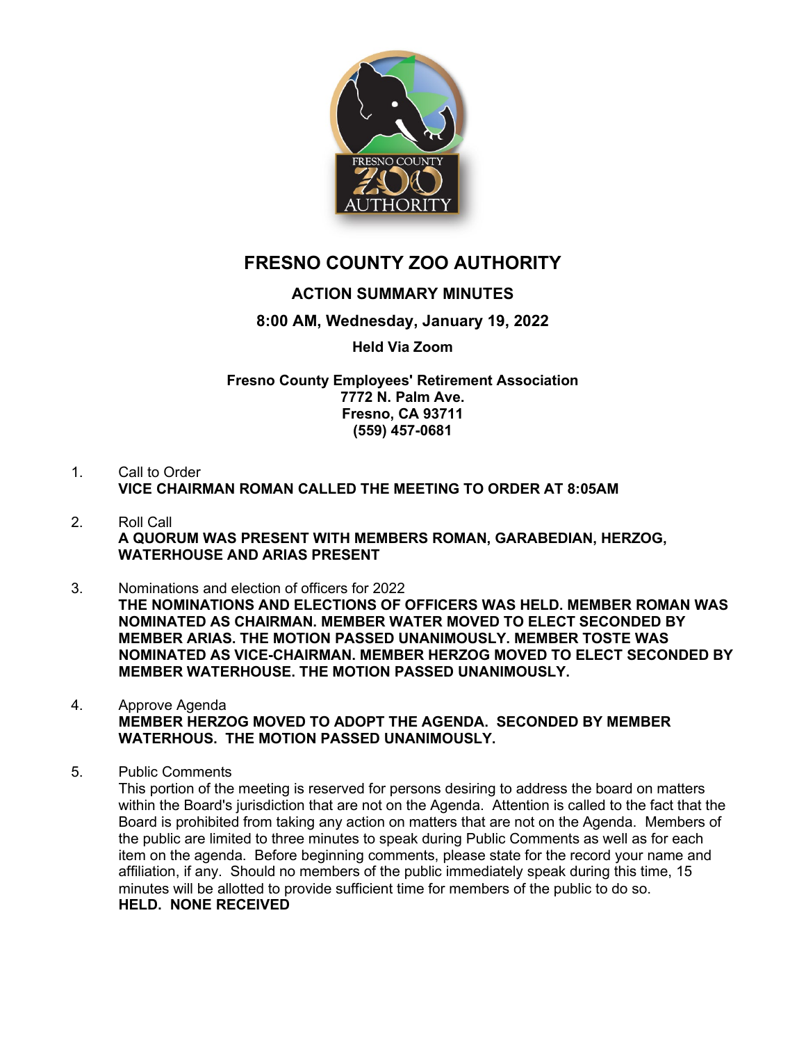

# **FRESNO COUNTY ZOO AUTHORITY**

## **ACTION SUMMARY MINUTES**

### **8:00 AM, Wednesday, January 19, 2022**

#### **Held Via Zoom**

**Fresno County Employees' Retirement Association 7772 N. Palm Ave. Fresno, CA 93711 (559) 457-0681**

- 1. Call to Order **VICE CHAIRMAN ROMAN CALLED THE MEETING TO ORDER AT 8:05AM**
- 2. Roll Call **A QUORUM WAS PRESENT WITH MEMBERS ROMAN, GARABEDIAN, HERZOG, WATERHOUSE AND ARIAS PRESENT**
- 3. Nominations and election of officers for 2022 **THE NOMINATIONS AND ELECTIONS OF OFFICERS WAS HELD. MEMBER ROMAN WAS NOMINATED AS CHAIRMAN. MEMBER WATER MOVED TO ELECT SECONDED BY MEMBER ARIAS. THE MOTION PASSED UNANIMOUSLY. MEMBER TOSTE WAS NOMINATED AS VICE-CHAIRMAN. MEMBER HERZOG MOVED TO ELECT SECONDED BY MEMBER WATERHOUSE. THE MOTION PASSED UNANIMOUSLY.**
- 4. Approve Agenda **MEMBER HERZOG MOVED TO ADOPT THE AGENDA. SECONDED BY MEMBER WATERHOUS. THE MOTION PASSED UNANIMOUSLY.**
- 5. Public Comments

This portion of the meeting is reserved for persons desiring to address the board on matters within the Board's jurisdiction that are not on the Agenda. Attention is called to the fact that the Board is prohibited from taking any action on matters that are not on the Agenda. Members of the public are limited to three minutes to speak during Public Comments as well as for each item on the agenda. Before beginning comments, please state for the record your name and affiliation, if any. Should no members of the public immediately speak during this time, 15 minutes will be allotted to provide sufficient time for members of the public to do so. **HELD. NONE RECEIVED**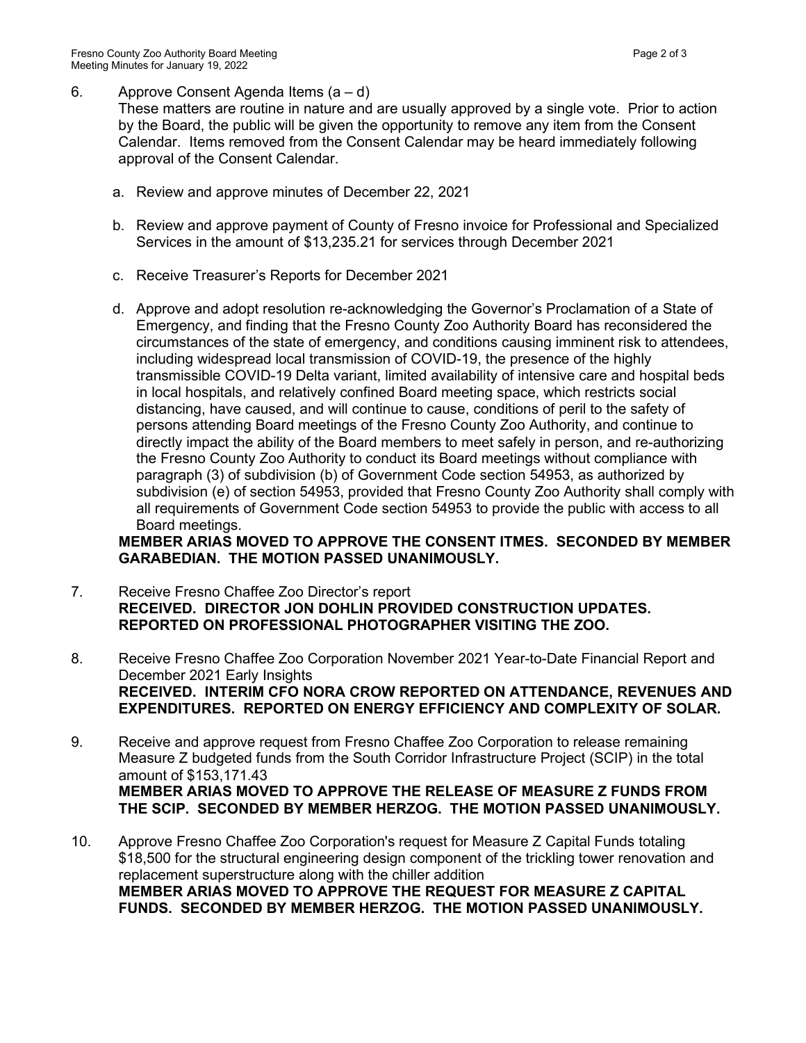6. Approve Consent Agenda Items (a – d)

These matters are routine in nature and are usually approved by a single vote. Prior to action by the Board, the public will be given the opportunity to remove any item from the Consent Calendar. Items removed from the Consent Calendar may be heard immediately following approval of the Consent Calendar.

- a. Review and approve minutes of December 22, 2021
- b. Review and approve payment of County of Fresno invoice for Professional and Specialized Services in the amount of \$13,235.21 for services through December 2021
- c. Receive Treasurer's Reports for December 2021
- d. Approve and adopt resolution re-acknowledging the Governor's Proclamation of a State of Emergency, and finding that the Fresno County Zoo Authority Board has reconsidered the circumstances of the state of emergency, and conditions causing imminent risk to attendees, including widespread local transmission of COVID-19, the presence of the highly transmissible COVID-19 Delta variant, limited availability of intensive care and hospital beds in local hospitals, and relatively confined Board meeting space, which restricts social distancing, have caused, and will continue to cause, conditions of peril to the safety of persons attending Board meetings of the Fresno County Zoo Authority, and continue to directly impact the ability of the Board members to meet safely in person, and re-authorizing the Fresno County Zoo Authority to conduct its Board meetings without compliance with paragraph (3) of subdivision (b) of Government Code section 54953, as authorized by subdivision (e) of section 54953, provided that Fresno County Zoo Authority shall comply with all requirements of Government Code section 54953 to provide the public with access to all Board meetings.

#### **MEMBER ARIAS MOVED TO APPROVE THE CONSENT ITMES. SECONDED BY MEMBER GARABEDIAN. THE MOTION PASSED UNANIMOUSLY.**

- 7. Receive Fresno Chaffee Zoo Director's report **RECEIVED. DIRECTOR JON DOHLIN PROVIDED CONSTRUCTION UPDATES. REPORTED ON PROFESSIONAL PHOTOGRAPHER VISITING THE ZOO.**
- 8. Receive Fresno Chaffee Zoo Corporation November 2021 Year-to-Date Financial Report and December 2021 Early Insights **RECEIVED. INTERIM CFO NORA CROW REPORTED ON ATTENDANCE, REVENUES AND EXPENDITURES. REPORTED ON ENERGY EFFICIENCY AND COMPLEXITY OF SOLAR.**
- 9. Receive and approve request from Fresno Chaffee Zoo Corporation to release remaining Measure Z budgeted funds from the South Corridor Infrastructure Project (SCIP) in the total amount of \$153,171.43 **MEMBER ARIAS MOVED TO APPROVE THE RELEASE OF MEASURE Z FUNDS FROM THE SCIP. SECONDED BY MEMBER HERZOG. THE MOTION PASSED UNANIMOUSLY.**
- 10. Approve Fresno Chaffee Zoo Corporation's request for Measure Z Capital Funds totaling \$18,500 for the structural engineering design component of the trickling tower renovation and replacement superstructure along with the chiller addition **MEMBER ARIAS MOVED TO APPROVE THE REQUEST FOR MEASURE Z CAPITAL FUNDS. SECONDED BY MEMBER HERZOG. THE MOTION PASSED UNANIMOUSLY.**